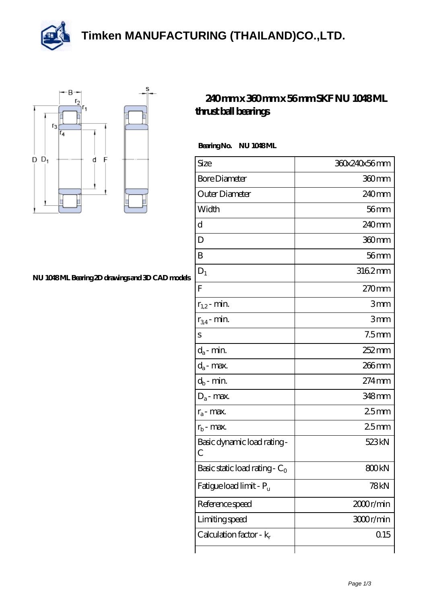**[Timken MANUFACTURING \(THAILAND\)CO.,LTD.](https://m.thereclaimer.net)**





## **[NU 1048 ML Bearing 2D drawings and 3D CAD models](https://m.thereclaimer.net/pic-65136252.html)**

## **[240 mm x 360 mm x 56 mm SKF NU 1048 ML](https://m.thereclaimer.net/skf-nu-1048-ml-bearing/) [thrust ball bearings](https://m.thereclaimer.net/skf-nu-1048-ml-bearing/)**

Bearing No. NU 1048ML

| Size                                | 360x240x56mm        |
|-------------------------------------|---------------------|
| <b>Bore Diameter</b>                | 360mm               |
| Outer Diameter                      | 240mm               |
| Width                               | $56$ mm             |
| d                                   | 240 <sub>mm</sub>   |
| D                                   | 360mm               |
| B                                   | $56$ mm             |
| $D_1$                               | 3162mm              |
| F                                   | 270mm               |
| $r_{1,2}$ - min.                    | 3mm                 |
| $r_{34}$ - min.                     | 3mm                 |
| S                                   | 7.5 <sub>mm</sub>   |
| $d_a$ - min.                        | $252 \text{mm}$     |
| $d_a$ - max.                        | 266mm               |
| $d_b$ - min.                        | $274$ <sub>mm</sub> |
| $D_a$ - max.                        | 348mm               |
| $r_a$ - max.                        | 25mm                |
| $r_{b}$ - max.                      | 25mm                |
| Basic dynamic load rating-<br>С     | 523 <sub>kN</sub>   |
| Basic static load rating - $C_0$    | 800kN               |
| Fatigue load limit - P <sub>u</sub> | 78kN                |
| Reference speed                     | 2000r/min           |
| Limiting speed                      | 3000r/min           |
| Calculation factor - $k_r$          | 0.15                |
|                                     |                     |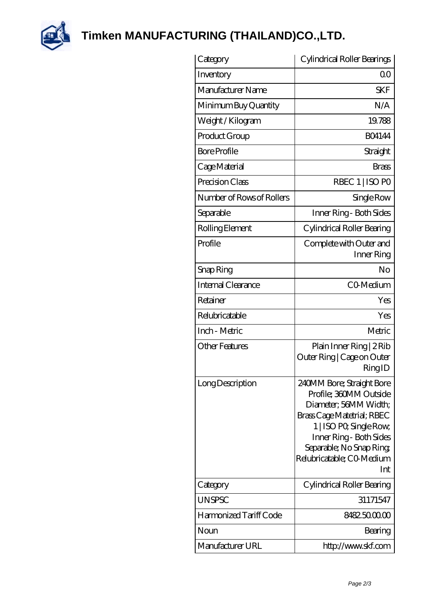

**[Timken MANUFACTURING \(THAILAND\)CO.,LTD.](https://m.thereclaimer.net)**

| Category                  | Cylindrical Roller Bearings                                                                                                                                                                                                      |
|---------------------------|----------------------------------------------------------------------------------------------------------------------------------------------------------------------------------------------------------------------------------|
| Inventory                 | $\Omega$ <sup>O</sup>                                                                                                                                                                                                            |
| Manufacturer Name         | <b>SKF</b>                                                                                                                                                                                                                       |
| Minimum Buy Quantity      | N/A                                                                                                                                                                                                                              |
| Weight / Kilogram         | 19.788                                                                                                                                                                                                                           |
| Product Group             | <b>BO4144</b>                                                                                                                                                                                                                    |
| <b>Bore Profile</b>       | Straight                                                                                                                                                                                                                         |
| Cage Material             | <b>Brass</b>                                                                                                                                                                                                                     |
| Precision Class           | RBEC 1   ISO PO                                                                                                                                                                                                                  |
| Number of Rows of Rollers | Single Row                                                                                                                                                                                                                       |
| Separable                 | Inner Ring - Both Sides                                                                                                                                                                                                          |
| Rolling Element           | Cylindrical Roller Bearing                                                                                                                                                                                                       |
| Profile                   | Complete with Outer and<br>Inner Ring                                                                                                                                                                                            |
| Snap Ring                 | No                                                                                                                                                                                                                               |
| Internal Clearance        | CO-Medium                                                                                                                                                                                                                        |
| Retainer                  | Yes                                                                                                                                                                                                                              |
| Relubricatable            | Yes                                                                                                                                                                                                                              |
| Inch - Metric             | Metric                                                                                                                                                                                                                           |
| <b>Other Features</b>     | Plain Inner Ring   2 Rib<br>Outer Ring   Cage on Outer<br>RingID                                                                                                                                                                 |
| Long Description          | 240MM Bore; Straight Bore<br>Profile; 360MM Outside<br>Diameter, 56MM Width;<br>Brass Cage Matetrial; RBEC<br>1   ISO PO, Single Row,<br>Inner Ring - Both Sides<br>Separable; No Snap Ring;<br>Relubricatable; CO Medium<br>Int |
| Category                  | Cylindrical Roller Bearing                                                                                                                                                                                                       |
| <b>UNSPSC</b>             | 31171547                                                                                                                                                                                                                         |
| Harmonized Tariff Code    | 8482500000                                                                                                                                                                                                                       |
| Noun                      | Bearing                                                                                                                                                                                                                          |
| Manufacturer URL          | http://www.skf.com                                                                                                                                                                                                               |